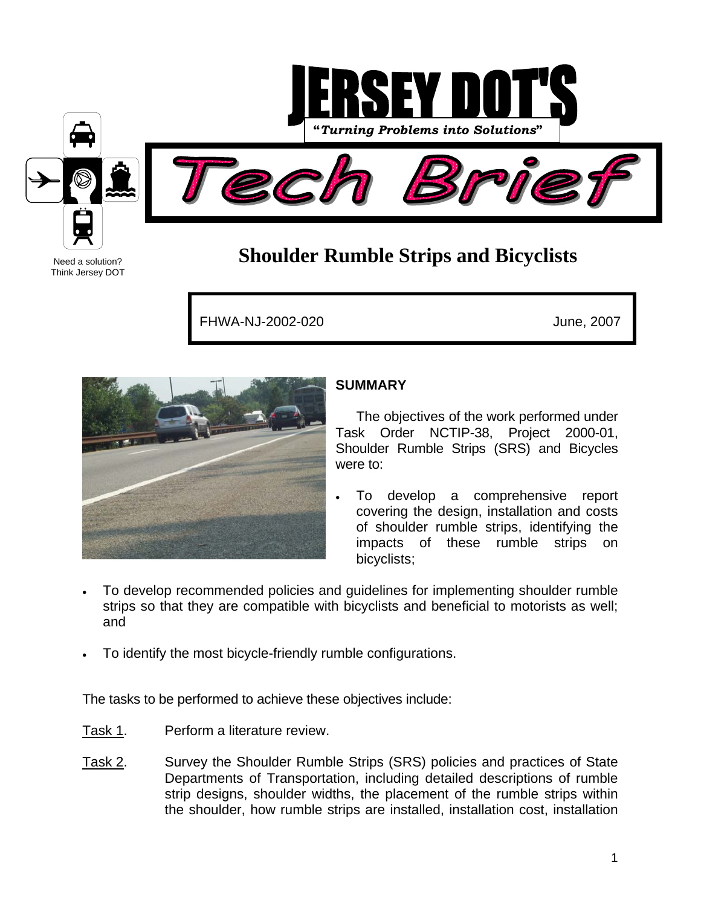

# **Shoulder Rumble Strips and Bicyclists**

FHWA-NJ-2002-020 June, 2007



Need a solution? Think Jersey DOT

## **SUMMARY**

The objectives of the work performed under Task Order NCTIP-38, Project 2000-01, Shoulder Rumble Strips (SRS) and Bicycles were to:

- To develop a comprehensive report covering the design, installation and costs of shoulder rumble strips, identifying the impacts of these rumble strips on bicyclists;
- To develop recommended policies and guidelines for implementing shoulder rumble strips so that they are compatible with bicyclists and beneficial to motorists as well; and
- To identify the most bicycle-friendly rumble configurations.

The tasks to be performed to achieve these objectives include:

- Task 1. Perform a literature review.
- Task 2. Survey the Shoulder Rumble Strips (SRS) policies and practices of State Departments of Transportation, including detailed descriptions of rumble strip designs, shoulder widths, the placement of the rumble strips within the shoulder, how rumble strips are installed, installation cost, installation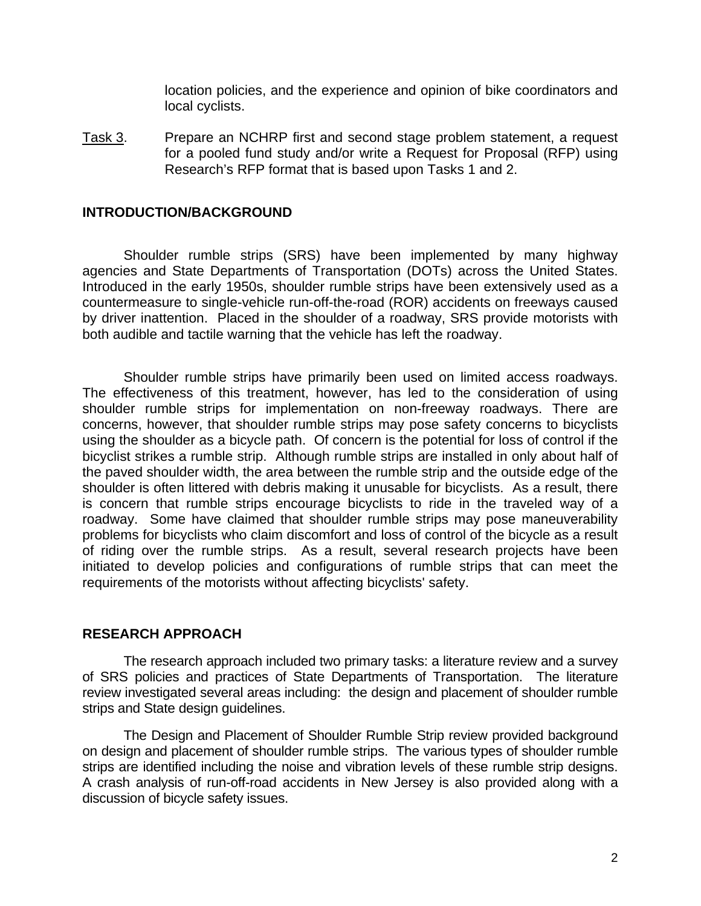location policies, and the experience and opinion of bike coordinators and local cyclists.

Task 3. Prepare an NCHRP first and second stage problem statement, a request for a pooled fund study and/or write a Request for Proposal (RFP) using Research's RFP format that is based upon Tasks 1 and 2.

#### **INTRODUCTION/BACKGROUND**

Shoulder rumble strips (SRS) have been implemented by many highway agencies and State Departments of Transportation (DOTs) across the United States. Introduced in the early 1950s, shoulder rumble strips have been extensively used as a countermeasure to single-vehicle run-off-the-road (ROR) accidents on freeways caused by driver inattention. Placed in the shoulder of a roadway, SRS provide motorists with both audible and tactile warning that the vehicle has left the roadway.

Shoulder rumble strips have primarily been used on limited access roadways. The effectiveness of this treatment, however, has led to the consideration of using shoulder rumble strips for implementation on non-freeway roadways. There are concerns, however, that shoulder rumble strips may pose safety concerns to bicyclists using the shoulder as a bicycle path. Of concern is the potential for loss of control if the bicyclist strikes a rumble strip. Although rumble strips are installed in only about half of the paved shoulder width, the area between the rumble strip and the outside edge of the shoulder is often littered with debris making it unusable for bicyclists. As a result, there is concern that rumble strips encourage bicyclists to ride in the traveled way of a roadway. Some have claimed that shoulder rumble strips may pose maneuverability problems for bicyclists who claim discomfort and loss of control of the bicycle as a result of riding over the rumble strips. As a result, several research projects have been initiated to develop policies and configurations of rumble strips that can meet the requirements of the motorists without affecting bicyclists' safety.

#### **RESEARCH APPROACH**

The research approach included two primary tasks: a literature review and a survey of SRS policies and practices of State Departments of Transportation. The literature review investigated several areas including: the design and placement of shoulder rumble strips and State design guidelines.

The Design and Placement of Shoulder Rumble Strip review provided background on design and placement of shoulder rumble strips. The various types of shoulder rumble strips are identified including the noise and vibration levels of these rumble strip designs. A crash analysis of run-off-road accidents in New Jersey is also provided along with a discussion of bicycle safety issues.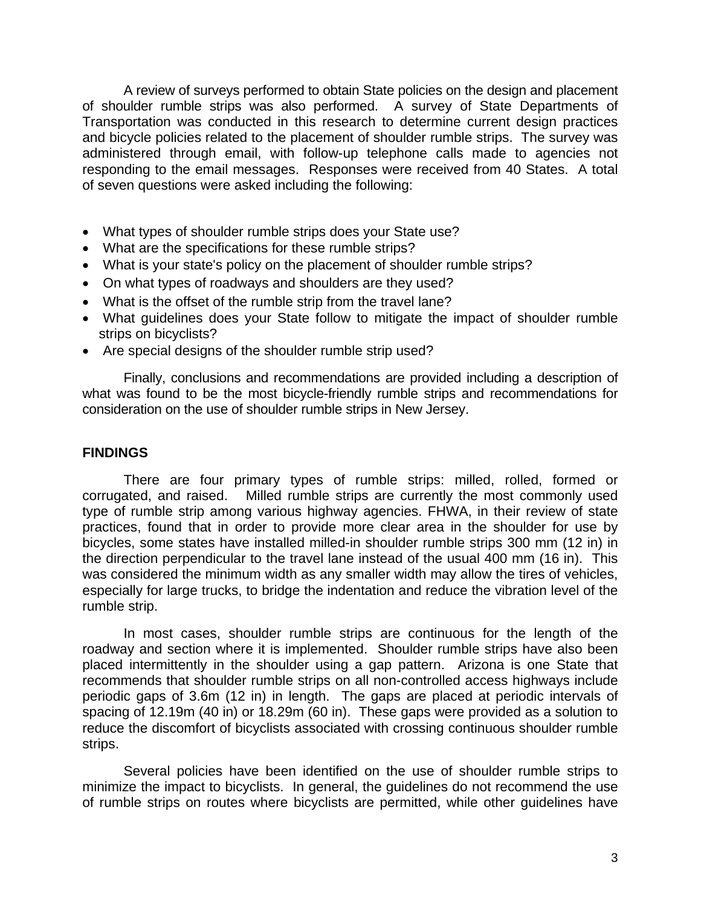A review of surveys performed to obtain State policies on the design and placement of shoulder rumble strips was also performed. A survey of State Departments of Transportation was conducted in this research to determine current design practices and bicycle policies related to the placement of shoulder rumble strips. The survey was administered through email, with follow-up telephone calls made to agencies not responding to the email messages. Responses were received from 40 States. A total of seven questions were asked including the following:

- What types of shoulder rumble strips does your State use?
- What are the specifications for these rumble strips?
- What is your state's policy on the placement of shoulder rumble strips?
- On what types of roadways and shoulders are they used?
- What is the offset of the rumble strip from the travel lane?
- What guidelines does your State follow to mitigate the impact of shoulder rumble strips on bicyclists?
- Are special designs of the shoulder rumble strip used?

Finally, conclusions and recommendations are provided including a description of what was found to be the most bicycle-friendly rumble strips and recommendations for consideration on the use of shoulder rumble strips in New Jersey.

#### **FINDINGS**

There are four primary types of rumble strips: milled, rolled, formed or corrugated, and raised. Milled rumble strips are currently the most commonly used type of rumble strip among various highway agencies. FHWA, in their review of state practices, found that in order to provide more clear area in the shoulder for use by bicycles, some states have installed milled-in shoulder rumble strips 300 mm (12 in) in the direction perpendicular to the travel lane instead of the usual 400 mm (16 in). This was considered the minimum width as any smaller width may allow the tires of vehicles, especially for large trucks, to bridge the indentation and reduce the vibration level of the rumble strip.

In most cases, shoulder rumble strips are continuous for the length of the roadway and section where it is implemented. Shoulder rumble strips have also been placed intermittently in the shoulder using a gap pattern. Arizona is one State that recommends that shoulder rumble strips on all non-controlled access highways include periodic gaps of 3.6m (12 in) in length. The gaps are placed at periodic intervals of spacing of 12.19m (40 in) or 18.29m (60 in). These gaps were provided as a solution to reduce the discomfort of bicyclists associated with crossing continuous shoulder rumble strips.

Several policies have been identified on the use of shoulder rumble strips to minimize the impact to bicyclists. In general, the guidelines do not recommend the use of rumble strips on routes where bicyclists are permitted, while other guidelines have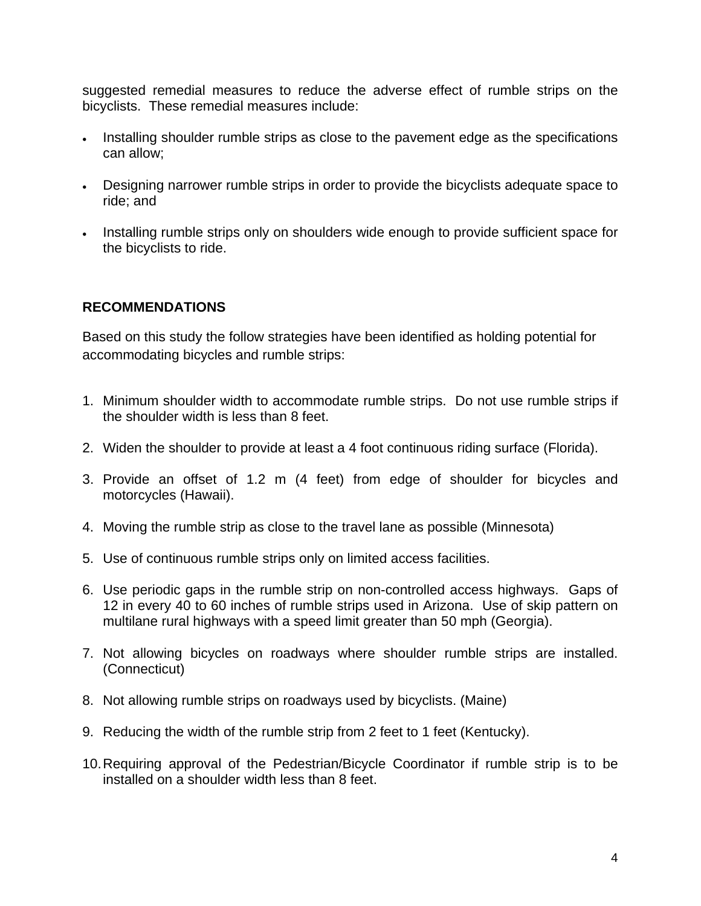suggested remedial measures to reduce the adverse effect of rumble strips on the bicyclists. These remedial measures include:

- Installing shoulder rumble strips as close to the pavement edge as the specifications can allow;
- Designing narrower rumble strips in order to provide the bicyclists adequate space to ride; and
- Installing rumble strips only on shoulders wide enough to provide sufficient space for the bicyclists to ride.

### **RECOMMENDATIONS**

Based on this study the follow strategies have been identified as holding potential for accommodating bicycles and rumble strips:

- 1. Minimum shoulder width to accommodate rumble strips. Do not use rumble strips if the shoulder width is less than 8 feet.
- 2. Widen the shoulder to provide at least a 4 foot continuous riding surface (Florida).
- 3. Provide an offset of 1.2 m (4 feet) from edge of shoulder for bicycles and motorcycles (Hawaii).
- 4. Moving the rumble strip as close to the travel lane as possible (Minnesota)
- 5. Use of continuous rumble strips only on limited access facilities.
- 6. Use periodic gaps in the rumble strip on non-controlled access highways. Gaps of 12 in every 40 to 60 inches of rumble strips used in Arizona. Use of skip pattern on multilane rural highways with a speed limit greater than 50 mph (Georgia).
- 7. Not allowing bicycles on roadways where shoulder rumble strips are installed. (Connecticut)
- 8. Not allowing rumble strips on roadways used by bicyclists. (Maine)
- 9. Reducing the width of the rumble strip from 2 feet to 1 feet (Kentucky).
- 10. Requiring approval of the Pedestrian/Bicycle Coordinator if rumble strip is to be installed on a shoulder width less than 8 feet.